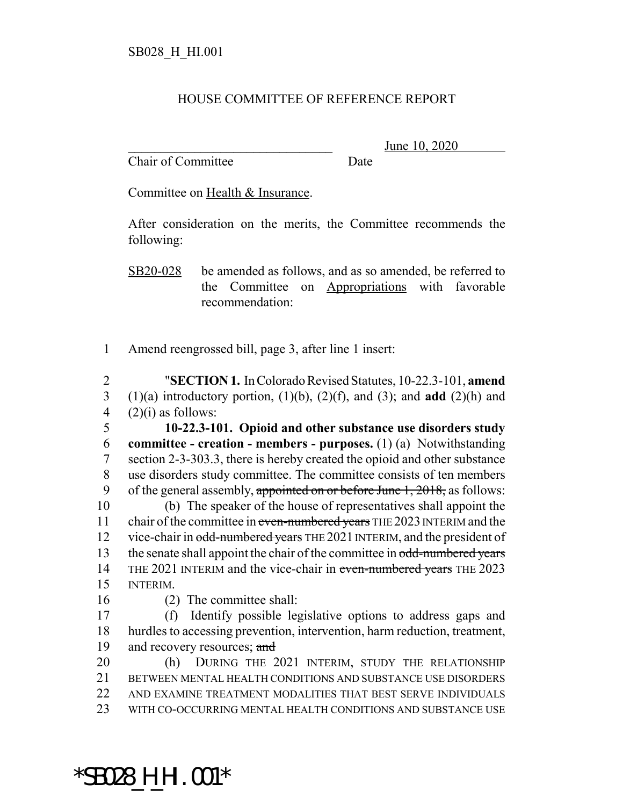## HOUSE COMMITTEE OF REFERENCE REPORT

Chair of Committee Date

June 10, 2020

Committee on Health & Insurance.

After consideration on the merits, the Committee recommends the following:

SB20-028 be amended as follows, and as so amended, be referred to the Committee on Appropriations with favorable recommendation:

1 Amend reengrossed bill, page 3, after line 1 insert:

2 "**SECTION 1.** In Colorado Revised Statutes, 10-22.3-101, **amend** 3 (1)(a) introductory portion, (1)(b), (2)(f), and (3); and **add** (2)(h) and 4  $(2)(i)$  as follows:

 **10-22.3-101. Opioid and other substance use disorders study committee - creation - members - purposes.** (1) (a) Notwithstanding section 2-3-303.3, there is hereby created the opioid and other substance use disorders study committee. The committee consists of ten members 9 of the general assembly, appointed on or before June 1, 2018, as follows:

10 (b) The speaker of the house of representatives shall appoint the 11 chair of the committee in even-numbered years THE 2023 INTERIM and the 12 vice-chair in odd-numbered years THE 2021 INTERIM, and the president of 13 the senate shall appoint the chair of the committee in odd-numbered years 14 THE 2021 INTERIM and the vice-chair in even-numbered years THE 2023 15 INTERIM.

16 (2) The committee shall:

17 (f) Identify possible legislative options to address gaps and 18 hurdles to accessing prevention, intervention, harm reduction, treatment, 19 and recovery resources; and

 (h) DURING THE 2021 INTERIM, STUDY THE RELATIONSHIP BETWEEN MENTAL HEALTH CONDITIONS AND SUBSTANCE USE DISORDERS AND EXAMINE TREATMENT MODALITIES THAT BEST SERVE INDIVIDUALS WITH CO-OCCURRING MENTAL HEALTH CONDITIONS AND SUBSTANCE USE